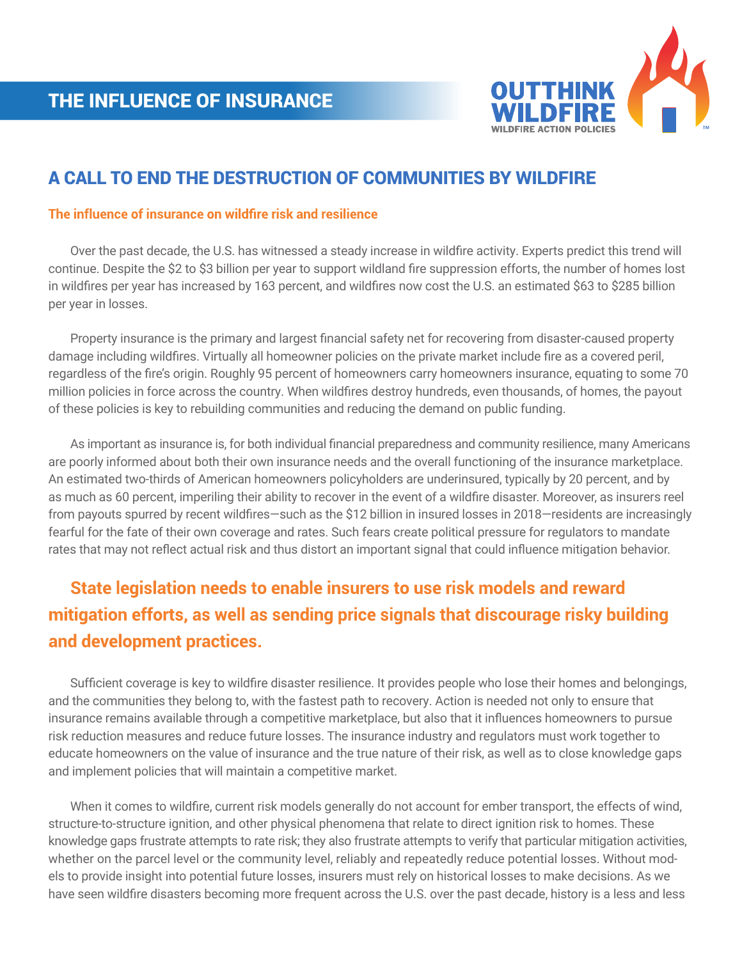

## A CALL TO END THE DESTRUCTION OF COMMUNITIES BY WILDFIRE

#### **The influence of insurance on wildfire risk and resilience**

 Over the past decade, the U.S. has witnessed a steady increase in wildfire activity. Experts predict this trend will continue. Despite the \$2 to \$3 billion per year to support wildland fire suppression efforts, the number of homes lost in wildfires per year has increased by 163 percent, and wildfires now cost the U.S. an estimated \$63 to \$285 billion per year in losses.

 Property insurance is the primary and largest financial safety net for recovering from disaster-caused property damage including wildfires. Virtually all homeowner policies on the private market include fire as a covered peril, regardless of the fire's origin. Roughly 95 percent of homeowners carry homeowners insurance, equating to some 70 million policies in force across the country. When wildfires destroy hundreds, even thousands, of homes, the payout of these policies is key to rebuilding communities and reducing the demand on public funding.

 As important as insurance is, for both individual financial preparedness and community resilience, many Americans are poorly informed about both their own insurance needs and the overall functioning of the insurance marketplace. An estimated two-thirds of American homeowners policyholders are underinsured, typically by 20 percent, and by as much as 60 percent, imperiling their ability to recover in the event of a wildfire disaster. Moreover, as insurers reel from payouts spurred by recent wildfires—such as the \$12 billion in insured losses in 2018—residents are increasingly fearful for the fate of their own coverage and rates. Such fears create political pressure for regulators to mandate rates that may not reflect actual risk and thus distort an important signal that could influence mitigation behavior.

# **State legislation needs to enable insurers to use risk models and reward mitigation efforts, as well as sending price signals that discourage risky building and development practices.**

 Sufficient coverage is key to wildfire disaster resilience. It provides people who lose their homes and belongings, and the communities they belong to, with the fastest path to recovery. Action is needed not only to ensure that insurance remains available through a competitive marketplace, but also that it influences homeowners to pursue risk reduction measures and reduce future losses. The insurance industry and regulators must work together to educate homeowners on the value of insurance and the true nature of their risk, as well as to close knowledge gaps and implement policies that will maintain a competitive market.

 When it comes to wildfire, current risk models generally do not account for ember transport, the effects of wind, structure-to-structure ignition, and other physical phenomena that relate to direct ignition risk to homes. These knowledge gaps frustrate attempts to rate risk; they also frustrate attempts to verify that particular mitigation activities, whether on the parcel level or the community level, reliably and repeatedly reduce potential losses. Without models to provide insight into potential future losses, insurers must rely on historical losses to make decisions. As we have seen wildfire disasters becoming more frequent across the U.S. over the past decade, history is a less and less